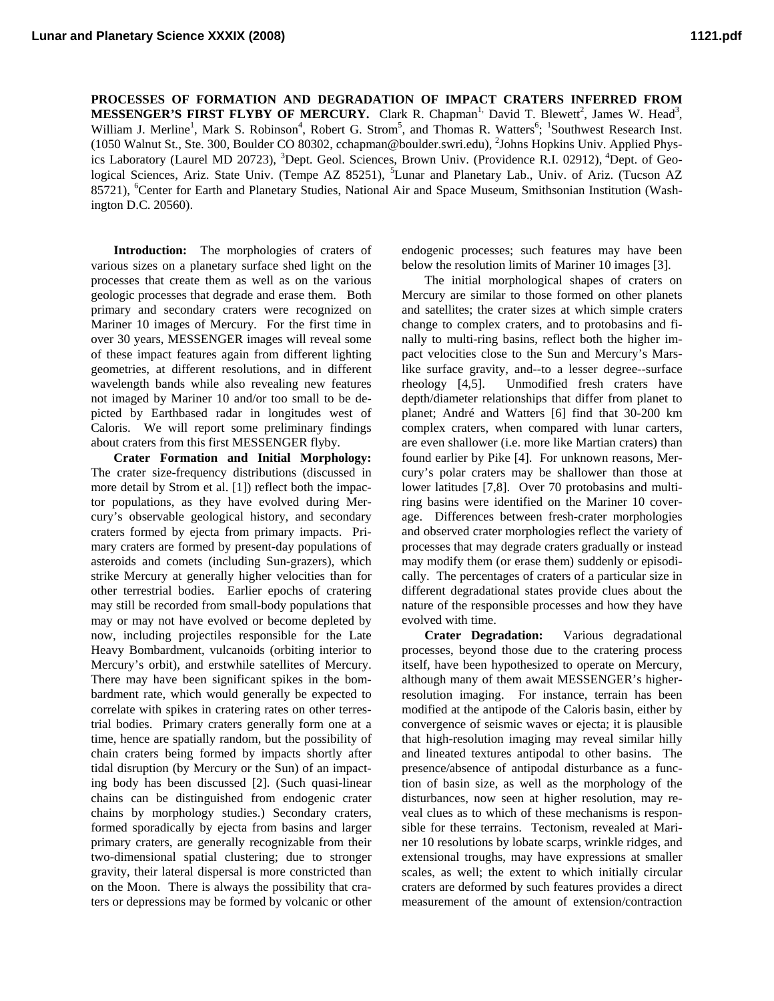**PROCESSES OF FORMATION AND DEGRADATION OF IMPACT CRATERS INFERRED FROM MESSENGER'S FIRST FLYBY OF MERCURY.** Clark R. Chapman<sup>1,</sup> David T. Blewett<sup>2</sup>, James W. Head<sup>3</sup>, William J. Merline<sup>1</sup>, Mark S. Robinson<sup>4</sup>, Robert G. Strom<sup>5</sup>, and Thomas R. Watters<sup>6</sup>; <sup>1</sup>Southwest Research Inst. (1050 Walnut St., Ste. 300, Boulder CO 80302, cchapman@boulder.swri.edu), 2 Johns Hopkins Univ. Applied Physics Laboratory (Laurel MD 20723), <sup>3</sup>Dept. Geol. Sciences, Brown Univ. (Providence R.I. 02912), <sup>4</sup>Dept. of Geological Sciences, Ariz. State Univ. (Tempe AZ 85251), <sup>5</sup>Lunar and Planetary Lab., Univ. of Ariz. (Tucson AZ 85721), <sup>6</sup>Center for Earth and Planetary Studies, National Air and Space Museum, Smithsonian Institution (Washington D.C. 20560).

**Introduction:** The morphologies of craters of various sizes on a planetary surface shed light on the processes that create them as well as on the various geologic processes that degrade and erase them. Both primary and secondary craters were recognized on Mariner 10 images of Mercury. For the first time in over 30 years, MESSENGER images will reveal some of these impact features again from different lighting geometries, at different resolutions, and in different wavelength bands while also revealing new features not imaged by Mariner 10 and/or too small to be depicted by Earthbased radar in longitudes west of Caloris. We will report some preliminary findings about craters from this first MESSENGER flyby.

**Crater Formation and Initial Morphology:**  The crater size-frequency distributions (discussed in more detail by Strom et al. [1]) reflect both the impactor populations, as they have evolved during Mercury's observable geological history, and secondary craters formed by ejecta from primary impacts. Primary craters are formed by present-day populations of asteroids and comets (including Sun-grazers), which strike Mercury at generally higher velocities than for other terrestrial bodies. Earlier epochs of cratering may still be recorded from small-body populations that may or may not have evolved or become depleted by now, including projectiles responsible for the Late Heavy Bombardment, vulcanoids (orbiting interior to Mercury's orbit), and erstwhile satellites of Mercury. There may have been significant spikes in the bombardment rate, which would generally be expected to correlate with spikes in cratering rates on other terrestrial bodies. Primary craters generally form one at a time, hence are spatially random, but the possibility of chain craters being formed by impacts shortly after tidal disruption (by Mercury or the Sun) of an impacting body has been discussed [2]. (Such quasi-linear chains can be distinguished from endogenic crater chains by morphology studies.) Secondary craters, formed sporadically by ejecta from basins and larger primary craters, are generally recognizable from their two-dimensional spatial clustering; due to stronger gravity, their lateral dispersal is more constricted than on the Moon. There is always the possibility that craters or depressions may be formed by volcanic or other

endogenic processes; such features may have been below the resolution limits of Mariner 10 images [3].

The initial morphological shapes of craters on Mercury are similar to those formed on other planets and satellites; the crater sizes at which simple craters change to complex craters, and to protobasins and finally to multi-ring basins, reflect both the higher impact velocities close to the Sun and Mercury's Marslike surface gravity, and--to a lesser degree--surface rheology [4,5]. Unmodified fresh craters have depth/diameter relationships that differ from planet to planet; André and Watters [6] find that 30-200 km complex craters, when compared with lunar carters, are even shallower (i.e. more like Martian craters) than found earlier by Pike [4]. For unknown reasons, Mercury's polar craters may be shallower than those at lower latitudes [7,8]. Over 70 protobasins and multiring basins were identified on the Mariner 10 coverage. Differences between fresh-crater morphologies and observed crater morphologies reflect the variety of processes that may degrade craters gradually or instead may modify them (or erase them) suddenly or episodically. The percentages of craters of a particular size in different degradational states provide clues about the nature of the responsible processes and how they have evolved with time.

**Crater Degradation:** Various degradational processes, beyond those due to the cratering process itself, have been hypothesized to operate on Mercury, although many of them await MESSENGER's higherresolution imaging. For instance, terrain has been modified at the antipode of the Caloris basin, either by convergence of seismic waves or ejecta; it is plausible that high-resolution imaging may reveal similar hilly and lineated textures antipodal to other basins. The presence/absence of antipodal disturbance as a function of basin size, as well as the morphology of the disturbances, now seen at higher resolution, may reveal clues as to which of these mechanisms is responsible for these terrains. Tectonism, revealed at Mariner 10 resolutions by lobate scarps, wrinkle ridges, and extensional troughs, may have expressions at smaller scales, as well; the extent to which initially circular craters are deformed by such features provides a direct measurement of the amount of extension/contraction